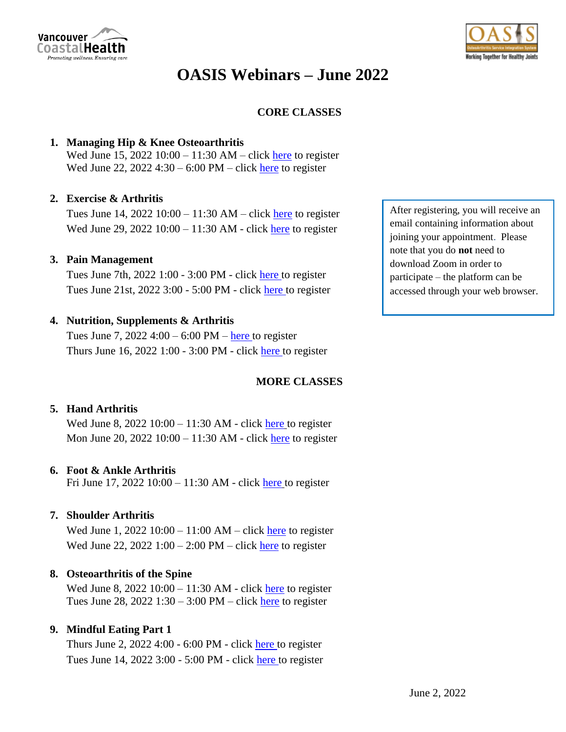

# **OASIS Webinars – June 2022**

## **CORE CLASSES**

## **1. Managing Hip & Knee Osteoarthritis**

Wed June 15, 2022 10:00 – 11:30 AM – click [here](https://vancouvercoastalhealth.zoom.us/webinar/register/WN_3oDqI630Syiy5pQBNFCKqQ) to register Wed June 22, 2022 4:30 – 6:00 PM – click [here](https://vancouvercoastalhealth.zoom.us/webinar/register/WN_ZShAV_-ARZ-N1hVdGbp1ZA) to register

## **2. Exercise & Arthritis**

Tues June 14,  $2022 10:00 - 11:30 AM - click here$  $2022 10:00 - 11:30 AM - click here$  to register Wed June 29, 2022 10:00 – 11:30 AM - click [here](https://vancouvercoastalhealth.zoom.us/webinar/register/WN_1cDLgXuOTh2NHqMLIjNz7w) to register

## **3. Pain Management**

Tues June 7th, 2022 1:00 - 3:00 PM - click [here](https://vancouvercoastalhealth.zoom.us/webinar/register/WN_mEDc6h3IRyGmTNGNAugI4Q) to register Tues June 21st, 2022 3:00 - 5:00 PM - click [here](https://vancouvercoastalhealth.zoom.us/webinar/register/WN_aCUTeWAsRRmqc4pd2rXD-g) to register

#### **4. Nutrition, Supplements & Arthritis**

Tues June 7,  $2022$  4:00 – 6:00 PM – [here](https://vancouvercoastalhealth.zoom.us/webinar/register/WN_V8UX1f9ZTxWdT4E1z1tUyg) to register Thurs June 16, 2022 1:00 - 3:00 PM - click [here](https://vancouvercoastalhealth.zoom.us/webinar/register/WN_6AY_TdwmQPGxva8CB33vyw) to register

## **MORE CLASSES**

#### **5. Hand Arthritis**

Wed June 8, 2022 10:00 – 11:30 AM - click [here](https://vancouvercoastalhealth.zoom.us/webinar/register/WN_Ybw0rNtTSpyyt7c_u06mwA) to register Mon June 20, 2022 10:00 – 11:30 AM - click [here](https://vancouvercoastalhealth.zoom.us/webinar/register/WN_ank9kGRbRmSeYKLj4XL2_g) to register

#### **6. Foot & Ankle Arthritis**

Fri June 17, 2022 10:00 – 11:30 AM - click [here](https://vancouvercoastalhealth.zoom.us/webinar/register/WN_zUAWpYyVQu-P83KkpQnrdA) to register

## **7. Shoulder Arthritis**

Wed June 1,  $2022 10:00 - 11:00 AM - click here to register$  $2022 10:00 - 11:00 AM - click here to register$  $2022 10:00 - 11:00 AM - click here to register$ Wed June 22, 2022 1:00 – 2:00 PM – click [here](https://vancouvercoastalhealth.zoom.us/webinar/register/WN_QfjJONdSRwO6vgpR11L0cQ) to register

#### **8. Osteoarthritis of the Spine**

Wed June 8, 2022  $10:00 - 11:30$  AM - click [here](https://vancouvercoastalhealth.zoom.us/webinar/register/WN_0ALqcGGYSX6oRUWrGa0keg) to register Tues June 28, 2022 1:30 – 3:00 PM – click [here](https://vancouvercoastalhealth.zoom.us/webinar/register/WN_5WAfWTEUSmWBdtg2h96-Zg) to register

#### **9. Mindful Eating Part 1**

Thurs June 2, 2022 4:00 - 6:00 PM - click [here](https://vancouvercoastalhealth.zoom.us/meeting/register/u5wkcuuqqT0vGd0R0vXK5Y2-Jxti0mp_ZhqQ) to register Tues June 14, 2022 3:00 - 5:00 PM - click [here](https://vancouvercoastalhealth.zoom.us/meeting/register/u5AtcO2srjgoGtR2QvBD-V-LaV8AaWcmuQb7) to register

After registering, you will receive an email containing information about joining your appointment. Please note that you do **not** need to download Zoom in order to participate – the platform can be accessed through your web browser.